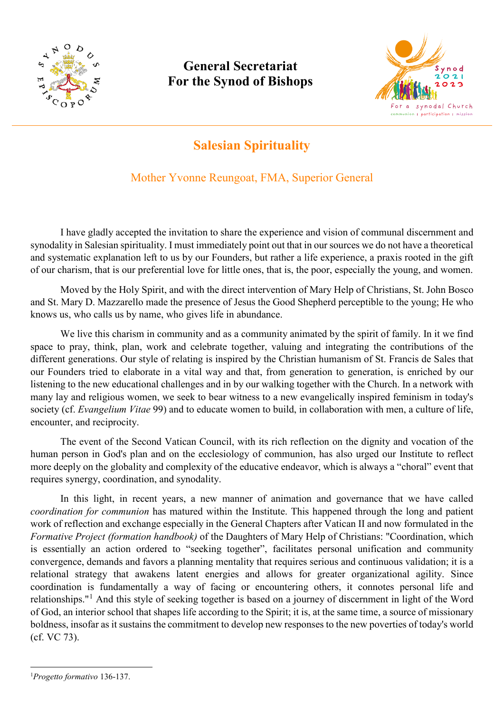

# **General Secretariat For the Synod of Bishops**



# **Salesian Spirituality**

## Mother Yvonne Reungoat, FMA, Superior General

I have gladly accepted the invitation to share the experience and vision of communal discernment and synodality in Salesian spirituality. I must immediately point out that in our sources we do not have a theoretical and systematic explanation left to us by our Founders, but rather a life experience, a praxis rooted in the gift of our charism, that is our preferential love for little ones, that is, the poor, especially the young, and women.

Moved by the Holy Spirit, and with the direct intervention of Mary Help of Christians, St. John Bosco and St. Mary D. Mazzarello made the presence of Jesus the Good Shepherd perceptible to the young; He who knows us, who calls us by name, who gives life in abundance.

We live this charism in community and as a community animated by the spirit of family. In it we find space to pray, think, plan, work and celebrate together, valuing and integrating the contributions of the different generations. Our style of relating is inspired by the Christian humanism of St. Francis de Sales that our Founders tried to elaborate in a vital way and that, from generation to generation, is enriched by our listening to the new educational challenges and in by our walking together with the Church. In a network with many lay and religious women, we seek to bear witness to a new evangelically inspired feminism in today's society (cf. *Evangelium Vitae* 99) and to educate women to build, in collaboration with men, a culture of life, encounter, and reciprocity.

The event of the Second Vatican Council, with its rich reflection on the dignity and vocation of the human person in God's plan and on the ecclesiology of communion, has also urged our Institute to reflect more deeply on the globality and complexity of the educative endeavor, which is always a "choral" event that requires synergy, coordination, and synodality.

In this light, in recent years, a new manner of animation and governance that we have called *coordination for communion* has matured within the Institute. This happened through the long and patient work of reflection and exchange especially in the General Chapters after Vatican II and now formulated in the *Formative Project (formation handbook)* of the Daughters of Mary Help of Christians: "Coordination, which is essentially an action ordered to "seeking together", facilitates personal unification and community convergence, demands and favors a planning mentality that requires serious and continuous validation; it is a relational strategy that awakens latent energies and allows for greater organizational agility. Since coordination is fundamentally a way of facing or encountering others, it connotes personal life and relationships."[1](#page-0-0) And this style of seeking together is based on a journey of discernment in light of the Word of God, an interior school that shapes life according to the Spirit; it is, at the same time, a source of missionary boldness, insofar as it sustains the commitment to develop new responses to the new poverties of today's world (cf. VC 73).

<u>.</u>

<span id="page-0-0"></span><sup>1</sup> *Progetto formativo* 136-137.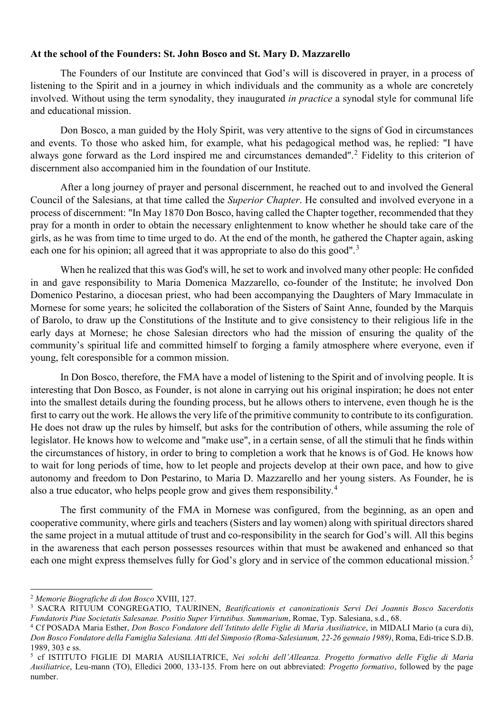#### **At the school of the Founders: St. John Bosco and St. Mary D. Mazzarello**

The Founders of our Institute are convinced that God's will is discovered in prayer, in a process of listening to the Spirit and in a journey in which individuals and the community as a whole are concretely involved. Without using the term synodality, they inaugurated *in practice* a synodal style for communal life and educational mission.

Don Bosco, a man guided by the Holy Spirit, was very attentive to the signs of God in circumstances and events. To those who asked him, for example, what his pedagogical method was, he replied: "I have always gone forward as the Lord inspired me and circumstances demanded".[2](#page-1-0) Fidelity to this criterion of discernment also accompanied him in the foundation of our Institute.

After a long journey of prayer and personal discernment, he reached out to and involved the General Council of the Salesians, at that time called the *Superior Chapter*. He consulted and involved everyone in a process of discernment: "In May 1870 Don Bosco, having called the Chapter together, recommended that they pray for a month in order to obtain the necessary enlightenment to know whether he should take care of the girls, as he was from time to time urged to do. At the end of the month, he gathered the Chapter again, asking each one for his opinion; all agreed that it was appropriate to also do this good".<sup>[3](#page-1-1)</sup>

When he realized that this was God's will, he set to work and involved many other people: He confided in and gave responsibility to Maria Domenica Mazzarello, co-founder of the Institute; he involved Don Domenico Pestarino, a diocesan priest, who had been accompanying the Daughters of Mary Immaculate in Mornese for some years; he solicited the collaboration of the Sisters of Saint Anne, founded by the Marquis of Barolo, to draw up the Constitutions of the Institute and to give consistency to their religious life in the early days at Mornese; he chose Salesian directors who had the mission of ensuring the quality of the community's spiritual life and committed himself to forging a family atmosphere where everyone, even if young, felt coresponsible for a common mission.

In Don Bosco, therefore, the FMA have a model of listening to the Spirit and of involving people. It is interesting that Don Bosco, as Founder, is not alone in carrying out his original inspiration; he does not enter into the smallest details during the founding process, but he allows others to intervene, even though he is the first to carry out the work. He allows the very life of the primitive community to contribute to its configuration. He does not draw up the rules by himself, but asks for the contribution of others, while assuming the role of legislator. He knows how to welcome and "make use", in a certain sense, of all the stimuli that he finds within the circumstances of history, in order to bring to completion a work that he knows is of God. He knows how to wait for long periods of time, how to let people and projects develop at their own pace, and how to give autonomy and freedom to Don Pestarino, to Maria D. Mazzarello and her young sisters. As Founder, he is also a true educator, who helps people grow and gives them responsibility.[4](#page-1-2)

The first community of the FMA in Mornese was configured, from the beginning, as an open and cooperative community, where girls and teachers (Sisters and lay women) along with spiritual directors shared the same project in a mutual attitude of trust and co-responsibility in the search for God's will. All this begins in the awareness that each person possesses resources within that must be awakened and enhanced so that each one might express themselves fully for God's glory and in service of the common educational mission.<sup>[5](#page-1-3)</sup>

**.** 

<span id="page-1-1"></span><span id="page-1-0"></span><sup>&</sup>lt;sup>2</sup> Memorie Biografiche di don Bosco XVIII, 127.<br><sup>3</sup> SACRA RITUUM CONGREGATIO, TAURINEN, *Beatificationis et canonizationis Servi Dei Joannis Bosco Sacerdotis* Fundatoris Piae Societatis Salesanae. Positio Super Virtutibus. Summarium, Romae, Typ. Salesiana, s.d., 68.<br><sup>4</sup> Cf POSADA Maria Esther, *Don Bosco Fondatore dell'Istituto delle Figlie di Maria Ausiliatrice*, in MIDALI Mari

<span id="page-1-2"></span>*Don Bosco Fondatore della Famiglia Salesiana. Atti del Simposio (Roma-Salesianum, 22-26 gennaio 1989)*, Roma, Edi-trice S.D.B. 1989, 303 e ss.

<span id="page-1-3"></span><sup>5</sup> cf ISTITUTO FIGLIE DI MARIA AUSILIATRICE, *Nei solchi dell'Alleanza. Progetto formativo delle Figlie di Maria Ausiliatrice*, Leu-mann (TO), Elledici 2000, 133-135. From here on out abbreviated: *Progetto formativo*, followed by the page number.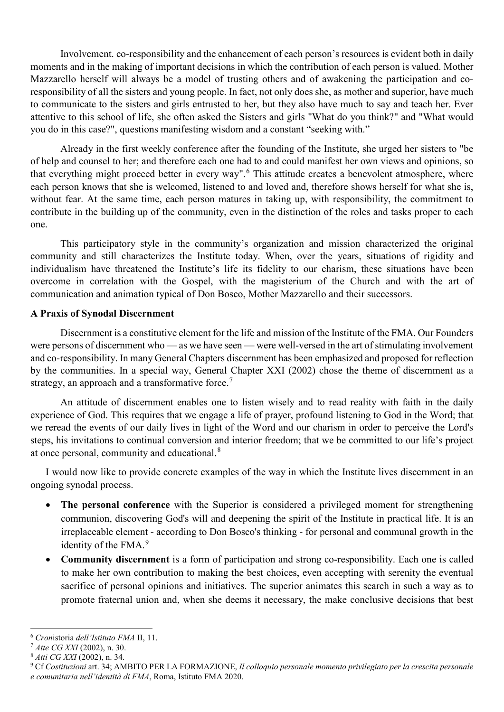Involvement. co-responsibility and the enhancement of each person's resources is evident both in daily moments and in the making of important decisions in which the contribution of each person is valued. Mother Mazzarello herself will always be a model of trusting others and of awakening the participation and coresponsibility of all the sisters and young people. In fact, not only does she, as mother and superior, have much to communicate to the sisters and girls entrusted to her, but they also have much to say and teach her. Ever attentive to this school of life, she often asked the Sisters and girls "What do you think?" and "What would you do in this case?", questions manifesting wisdom and a constant "seeking with."

Already in the first weekly conference after the founding of the Institute, she urged her sisters to "be of help and counsel to her; and therefore each one had to and could manifest her own views and opinions, so that everything might proceed better in every way".<sup>[6](#page-3-0)</sup> This attitude creates a benevolent atmosphere, where each person knows that she is welcomed, listened to and loved and, therefore shows herself for what she is, without fear. At the same time, each person matures in taking up, with responsibility, the commitment to contribute in the building up of the community, even in the distinction of the roles and tasks proper to each one.

This participatory style in the community's organization and mission characterized the original community and still characterizes the Institute today. When, over the years, situations of rigidity and individualism have threatened the Institute's life its fidelity to our charism, these situations have been overcome in correlation with the Gospel, with the magisterium of the Church and with the art of communication and animation typical of Don Bosco, Mother Mazzarello and their successors.

#### **A Praxis of Synodal Discernment**

Discernment is a constitutive element for the life and mission of the Institute of the FMA. Our Founders were persons of discernment who — as we have seen — were well-versed in the art of stimulating involvement and co-responsibility. In many General Chapters discernment has been emphasized and proposed for reflection by the communities. In a special way, General Chapter XXI (2002) chose the theme of discernment as a strategy, an approach and a transformative force.<sup>[7](#page-3-1)</sup>

An attitude of discernment enables one to listen wisely and to read reality with faith in the daily experience of God. This requires that we engage a life of prayer, profound listening to God in the Word; that we reread the events of our daily lives in light of the Word and our charism in order to perceive the Lord's steps, his invitations to continual conversion and interior freedom; that we be committed to our life's project at once personal, community and educational.[8](#page-3-2)

I would now like to provide concrete examples of the way in which the Institute lives discernment in an ongoing synodal process.

- **The personal conference** with the Superior is considered a privileged moment for strengthening communion, discovering God's will and deepening the spirit of the Institute in practical life. It is an irreplaceable element - according to Don Bosco's thinking - for personal and communal growth in the identity of the FMA.<sup>[9](#page-3-3)</sup>
- **Community discernment** is a form of participation and strong co-responsibility. Each one is called to make her own contribution to making the best choices, even accepting with serenity the eventual sacrifice of personal opinions and initiatives. The superior animates this search in such a way as to promote fraternal union and, when she deems it necessary, the make conclusive decisions that best

 $\overline{a}$ 

<span id="page-3-1"></span>

<span id="page-3-3"></span><span id="page-3-2"></span>

<span id="page-3-0"></span><sup>&</sup>lt;sup>6</sup> Cronistoria dell'Istituto FMA II, 11.<br><sup>7</sup> Atte CG XXI (2002), n. 30.<br><sup>8</sup> Atti CG XXI (2002), n. 34.<br><sup>9</sup> Cf Costituzioni art. 34; AMBITO PER LA FORMAZIONE, Il colloquio personale momento privilegiato per la crescita pe *e comunitaria nell'identità di FMA*, Roma, Istituto FMA 2020.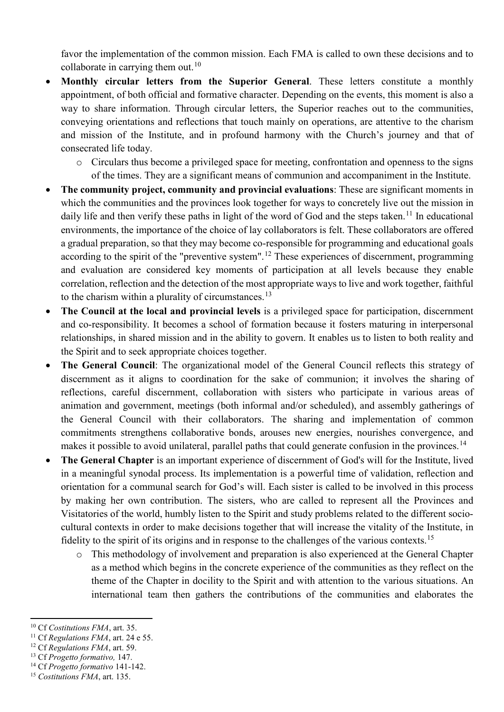favor the implementation of the common mission. Each FMA is called to own these decisions and to collaborate in carrying them out. $10$ 

- **Monthly circular letters from the Superior General**. These letters constitute a monthly appointment, of both official and formative character. Depending on the events, this moment is also a way to share information. Through circular letters, the Superior reaches out to the communities, conveying orientations and reflections that touch mainly on operations, are attentive to the charism and mission of the Institute, and in profound harmony with the Church's journey and that of consecrated life today.
	- o Circulars thus become a privileged space for meeting, confrontation and openness to the signs of the times. They are a significant means of communion and accompaniment in the Institute.
- **The community project, community and provincial evaluations**: These are significant moments in which the communities and the provinces look together for ways to concretely live out the mission in daily life and then verify these paths in light of the word of God and the steps taken.<sup>[11](#page-4-1)</sup> In educational environments, the importance of the choice of lay collaborators is felt. These collaborators are offered a gradual preparation, so that they may become co-responsible for programming and educational goals according to the spirit of the "preventive system".<sup>[12](#page-4-2)</sup> These experiences of discernment, programming and evaluation are considered key moments of participation at all levels because they enable correlation, reflection and the detection of the most appropriate ways to live and work together, faithful to the charism within a plurality of circumstances.<sup>[13](#page-4-3)</sup>
- **The Council at the local and provincial levels** is a privileged space for participation, discernment and co-responsibility. It becomes a school of formation because it fosters maturing in interpersonal relationships, in shared mission and in the ability to govern. It enables us to listen to both reality and the Spirit and to seek appropriate choices together.
- **The General Council**: The organizational model of the General Council reflects this strategy of discernment as it aligns to coordination for the sake of communion; it involves the sharing of reflections, careful discernment, collaboration with sisters who participate in various areas of animation and government, meetings (both informal and/or scheduled), and assembly gatherings of the General Council with their collaborators. The sharing and implementation of common commitments strengthens collaborative bonds, arouses new energies, nourishes convergence, and makes it possible to avoid unilateral, parallel paths that could generate confusion in the provinces.<sup>[14](#page-4-4)</sup>
- **The General Chapter** is an important experience of discernment of God's will for the Institute, lived in a meaningful synodal process. Its implementation is a powerful time of validation, reflection and orientation for a communal search for God's will. Each sister is called to be involved in this process by making her own contribution. The sisters, who are called to represent all the Provinces and Visitatories of the world, humbly listen to the Spirit and study problems related to the different sociocultural contexts in order to make decisions together that will increase the vitality of the Institute, in fidelity to the spirit of its origins and in response to the challenges of the various contexts.<sup>[15](#page-4-5)</sup>
	- o This methodology of involvement and preparation is also experienced at the General Chapter as a method which begins in the concrete experience of the communities as they reflect on the theme of the Chapter in docility to the Spirit and with attention to the various situations. An international team then gathers the contributions of the communities and elaborates the

**<sup>.</sup>** 

<span id="page-4-1"></span><span id="page-4-0"></span><sup>&</sup>lt;sup>10</sup> Cf *Costitutions FMA*, art. 35.<br><sup>11</sup> Cf *Regulations FMA*, art. 24 e 55.<br><sup>12</sup> Cf *Regulations FMA*, art. 59.<br><sup>13</sup> Cf *Progetto formativo*, 147.<br><sup>14</sup> Cf *Progetto formativo* 141-142.<br><sup>15</sup> Costitutions *FMA*, art. 135.

<span id="page-4-2"></span>

<span id="page-4-3"></span>

<span id="page-4-4"></span>

<span id="page-4-5"></span>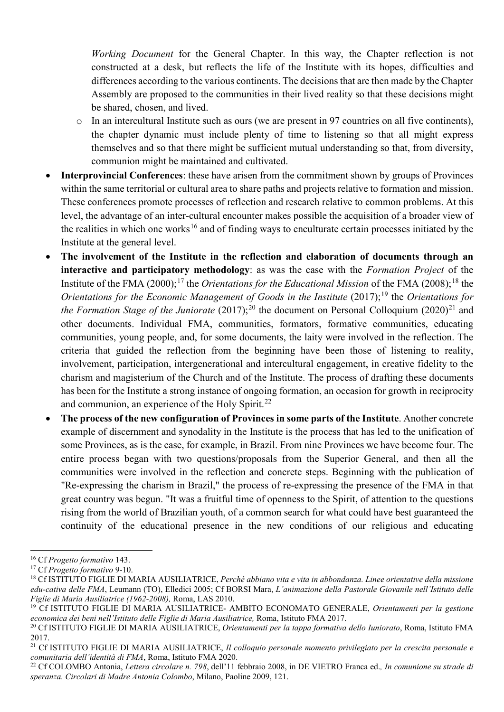*Working Document* for the General Chapter. In this way, the Chapter reflection is not constructed at a desk, but reflects the life of the Institute with its hopes, difficulties and differences according to the various continents. The decisions that are then made by the Chapter Assembly are proposed to the communities in their lived reality so that these decisions might be shared, chosen, and lived.

- o In an intercultural Institute such as ours (we are present in 97 countries on all five continents), the chapter dynamic must include plenty of time to listening so that all might express themselves and so that there might be sufficient mutual understanding so that, from diversity, communion might be maintained and cultivated.
- **Interprovincial Conferences**: these have arisen from the commitment shown by groups of Provinces within the same territorial or cultural area to share paths and projects relative to formation and mission. These conferences promote processes of reflection and research relative to common problems. At this level, the advantage of an inter-cultural encounter makes possible the acquisition of a broader view of the realities in which one works<sup>[16](#page-5-0)</sup> and of finding ways to enculturate certain processes initiated by the Institute at the general level.
- **The involvement of the Institute in the reflection and elaboration of documents through an interactive and participatory methodology**: as was the case with the *Formation Project* of the Institute of the FMA (2000);<sup>[17](#page-5-1)</sup> the *Orientations for the Educational Mission* of the FMA (2008);<sup>[18](#page-5-2)</sup> the *Orientations for the Economic Management of Goods in the Institute* (2017);<sup>[19](#page-5-3)</sup> the *Orientations for the Formation Stage of the Juniorate* ([20](#page-5-4)17);<sup>20</sup> the document on Personal Colloquium (2020)<sup>[21](#page-5-5)</sup> and other documents. Individual FMA, communities, formators, formative communities, educating communities, young people, and, for some documents, the laity were involved in the reflection. The criteria that guided the reflection from the beginning have been those of listening to reality, involvement, participation, intergenerational and intercultural engagement, in creative fidelity to the charism and magisterium of the Church and of the Institute. The process of drafting these documents has been for the Institute a strong instance of ongoing formation, an occasion for growth in reciprocity and communion, an experience of the Holy Spirit.<sup>[22](#page-5-6)</sup>
- **The process of the new configuration of Provinces in some parts of the Institute**. Another concrete example of discernment and synodality in the Institute is the process that has led to the unification of some Provinces, as is the case, for example, in Brazil. From nine Provinces we have become four. The entire process began with two questions/proposals from the Superior General, and then all the communities were involved in the reflection and concrete steps. Beginning with the publication of "Re-expressing the charism in Brazil," the process of re-expressing the presence of the FMA in that great country was begun. "It was a fruitful time of openness to the Spirit, of attention to the questions rising from the world of Brazilian youth, of a common search for what could have best guaranteed the continuity of the educational presence in the new conditions of our religious and educating

**.** 

<span id="page-5-2"></span><span id="page-5-1"></span>

<span id="page-5-0"></span><sup>&</sup>lt;sup>16</sup> Cf *Progetto formativo* 143.<br><sup>17</sup> Cf *Progetto formativo* 9-10.<br><sup>18</sup> Cf ISTITUTO FIGLIE DI MARIA AUSILIATRICE. *Perché abbiano vita e vita in abbondanza. Linee orientative della missione edu-cativa delle FMA*, Leumann (TO), Elledici 2005; Cf BORSI Mara, *L'animazione della Pastorale Giovanile nell'Istituto delle* 

<span id="page-5-3"></span><sup>&</sup>lt;sup>19</sup> Cf ISTITUTO FIGLIE DI MARIA AUSILIATRICE- AMBITO ECONOMATO GENERALE, *Orientamenti per la gestione economica dei beni nell'Istituto delle Figlie di Maria Ausiliatrice,* Roma, Istituto FMA 2017. 20 Cf ISTITUTO FIGLIE DI MARIA AUSILIATRICE, *Orientamenti per la tappa formativa dello Iuniorato*, Roma, Istituto FMA

<span id="page-5-4"></span><sup>2017.</sup> 

<span id="page-5-5"></span><sup>21</sup> Cf ISTITUTO FIGLIE DI MARIA AUSILIATRICE, *Il colloquio personale momento privilegiato per la crescita personale e comunitaria dell'identità di FMA*, Roma, Istituto FMA 2020. 22 Cf COLOMBO Antonia, *Lettera circolare n. 798*, dell'11 febbraio 2008, in DE VIETRO Franca ed.*, In comunione su strade di* 

<span id="page-5-6"></span>*speranza. Circolari di Madre Antonia Colombo*, Milano, Paoline 2009, 121.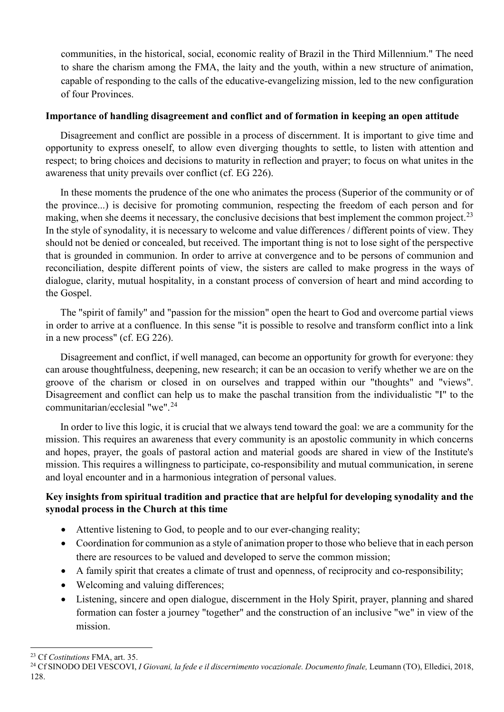communities, in the historical, social, economic reality of Brazil in the Third Millennium." The need to share the charism among the FMA, the laity and the youth, within a new structure of animation, capable of responding to the calls of the educative-evangelizing mission, led to the new configuration of four Provinces.

### **Importance of handling disagreement and conflict and of formation in keeping an open attitude**

Disagreement and conflict are possible in a process of discernment. It is important to give time and opportunity to express oneself, to allow even diverging thoughts to settle, to listen with attention and respect; to bring choices and decisions to maturity in reflection and prayer; to focus on what unites in the awareness that unity prevails over conflict (cf. EG 226).

In these moments the prudence of the one who animates the process (Superior of the community or of the province...) is decisive for promoting communion, respecting the freedom of each person and for making, when she deems it necessary, the conclusive decisions that best implement the common project.<sup>[23](#page-6-0)</sup> In the style of synodality, it is necessary to welcome and value differences / different points of view. They should not be denied or concealed, but received. The important thing is not to lose sight of the perspective that is grounded in communion. In order to arrive at convergence and to be persons of communion and reconciliation, despite different points of view, the sisters are called to make progress in the ways of dialogue, clarity, mutual hospitality, in a constant process of conversion of heart and mind according to the Gospel.

The "spirit of family" and "passion for the mission" open the heart to God and overcome partial views in order to arrive at a confluence. In this sense "it is possible to resolve and transform conflict into a link in a new process" (cf. EG 226).

Disagreement and conflict, if well managed, can become an opportunity for growth for everyone: they can arouse thoughtfulness, deepening, new research; it can be an occasion to verify whether we are on the groove of the charism or closed in on ourselves and trapped within our "thoughts" and "views". Disagreement and conflict can help us to make the paschal transition from the individualistic "I" to the communitarian/ecclesial "we".[24](#page-6-1)

In order to live this logic, it is crucial that we always tend toward the goal: we are a community for the mission. This requires an awareness that every community is an apostolic community in which concerns and hopes, prayer, the goals of pastoral action and material goods are shared in view of the Institute's mission. This requires a willingness to participate, co-responsibility and mutual communication, in serene and loyal encounter and in a harmonious integration of personal values.

### **Key insights from spiritual tradition and practice that are helpful for developing synodality and the synodal process in the Church at this time**

- Attentive listening to God, to people and to our ever-changing reality;
- Coordination for communion as a style of animation proper to those who believe that in each person there are resources to be valued and developed to serve the common mission;
- A family spirit that creates a climate of trust and openness, of reciprocity and co-responsibility;
- Welcoming and valuing differences;
- Listening, sincere and open dialogue, discernment in the Holy Spirit, prayer, planning and shared formation can foster a journey "together" and the construction of an inclusive "we" in view of the mission.

 $\overline{a}$ 

<span id="page-6-1"></span><span id="page-6-0"></span><sup>&</sup>lt;sup>23</sup> Cf *Costitutions FMA, art.* 35.<br><sup>24</sup> Cf SINODO DEI VESCOVI, *I Giovani, la fede e il discernimento vocazionale. Documento finale, Leumann (TO), Elledici, 2018,* 128.